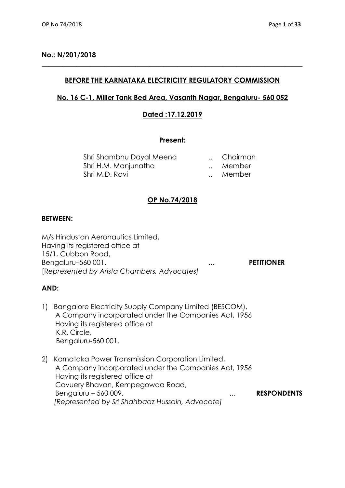## **No.: N/201/2018**

# **BEFORE THE KARNATAKA ELECTRICITY REGULATORY COMMISSION**

**\_\_\_\_\_\_\_\_\_\_\_\_\_\_\_\_\_\_\_\_\_\_\_\_\_\_\_\_\_\_\_\_\_\_\_\_\_\_\_\_\_\_\_\_\_\_\_\_\_\_\_\_\_\_\_\_\_\_\_\_\_\_\_\_\_\_\_\_\_\_\_\_\_\_\_**

## **No. 16 C-1, Miller Tank Bed Area, Vasanth Nagar, Bengaluru- 560 052**

## **Dated :17.12.2019**

#### **Present:**

| Shri Shambhu Dayal Meena | Chairman |
|--------------------------|----------|
| Shri H.M. Manjunatha     | Member   |
| Shri M.D. Ravi           | Member   |

# **OP No.74/2018**

## **BETWEEN:**

M/s Hindustan Aeronautics Limited, Having its registered office at 15/1, Cubbon Road, Bengaluru–560 001. **... PETITIONER** [R*epresented by Arista Chambers, Advocates]*

## **AND:**

- 1) Bangalore Electricity Supply Company Limited (BESCOM), A Company incorporated under the Companies Act, 1956 Having its registered office at K.R. Circle, Bengaluru-560 001.
- 2) Karnataka Power Transmission Corporation Limited, A Company incorporated under the Companies Act, 1956 Having its registered office at Cavuery Bhavan, Kempegowda Road, Bengaluru – 560 009. ... **RESPONDENTS** *[Represented by Sri Shahbaaz Hussain, Advocate]*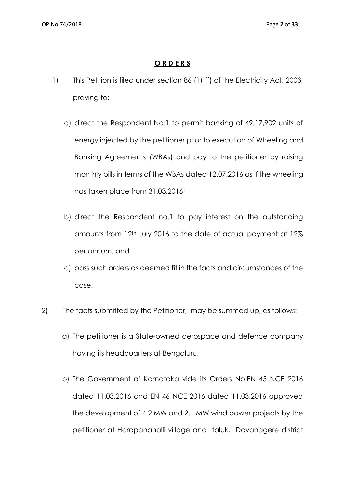# **O R D E R S**

- 1) This Petition is filed under section 86 (1) (f) of the Electricity Act, 2003, praying to:
	- a) direct the Respondent No.1 to permit banking of 49,17,902 units of energy injected by the petitioner prior to execution of Wheeling and Banking Agreements (WBAs) and pay to the petitioner by raising monthly bills in terms of the WBAs dated 12.07.2016 as if the wheeling has taken place from 31.03.2016;
	- b) direct the Respondent no.1 to pay interest on the outstanding amounts from 12<sup>th</sup> July 2016 to the date of actual payment at 12% per annum; and
	- c) pass such orders as deemed fit in the facts and circumstances of the case.
- 2) The facts submitted by the Petitioner, may be summed up, as follows:
	- a) The petitioner is a State-owned aerospace and defence company having its headquarters at Bengaluru.
	- b) The Government of Karnataka vide its Orders No.EN 45 NCE 2016 dated 11.03.2016 and EN 46 NCE 2016 dated 11.03.2016 approved the development of 4.2 MW and 2.1 MW wind power projects by the petitioner at Harapanahalli village and taluk, Davanagere district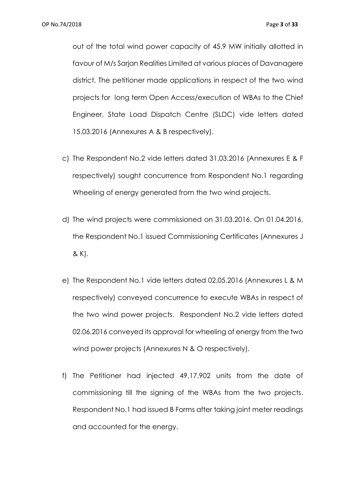out of the total wind power capacity of 45.9 MW initially allotted in favour of M/s Sarjan Realities Limited at various places of Davanagere district. The petitioner made applications in respect of the two wind projects for long term Open Access/execution of WBAs to the Chief Engineer, State Load Dispatch Centre (SLDC) vide letters dated 15.03.2016 (Annexures A & B respectively).

- c) The Respondent No.2 vide letters dated 31.03.2016 (Annexures E & F respectively) sought concurrence from Respondent No.1 regarding Wheeling of energy generated from the two wind projects.
- d) The wind projects were commissioned on 31.03.2016. On 01.04.2016, the Respondent No.1 issued Commissioning Certificates (Annexures J & K).
- e) The Respondent No.1 vide letters dated 02.05.2016 (Annexures L & M respectively) conveyed concurrence to execute WBAs in respect of the two wind power projects. Respondent No.2 vide letters dated 02.06.2016 conveyed its approval for wheeling of energy from the two wind power projects (Annexures N & O respectively).
- f) The Petitioner had injected 49,17,902 units from the date of commissioning till the signing of the WBAs from the two projects. Respondent No.1 had issued B Forms after taking joint meter readings and accounted for the energy.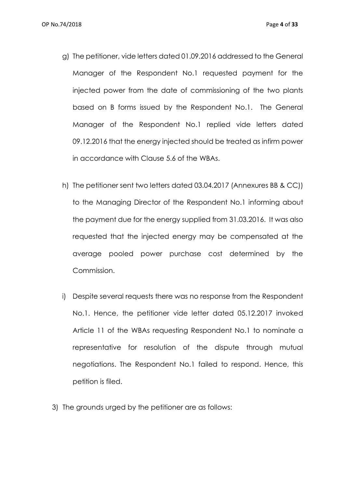- g) The petitioner, vide letters dated 01.09.2016 addressed to the General Manager of the Respondent No.1 requested payment for the injected power from the date of commissioning of the two plants based on B forms issued by the Respondent No.1. The General Manager of the Respondent No.1 replied vide letters dated 09.12.2016 that the energy injected should be treated as infirm power in accordance with Clause 5.6 of the WBAs.
- h) The petitioner sent two letters dated 03.04.2017 (Annexures BB & CC)) to the Managing Director of the Respondent No.1 informing about the payment due for the energy supplied from 31.03.2016. It was also requested that the injected energy may be compensated at the average pooled power purchase cost determined by the Commission.
- i) Despite several requests there was no response from the Respondent No.1. Hence, the petitioner vide letter dated 05.12.2017 invoked Article 11 of the WBAs requesting Respondent No.1 to nominate a representative for resolution of the dispute through mutual negotiations. The Respondent No.1 failed to respond. Hence, this petition is filed.
- 3) The grounds urged by the petitioner are as follows: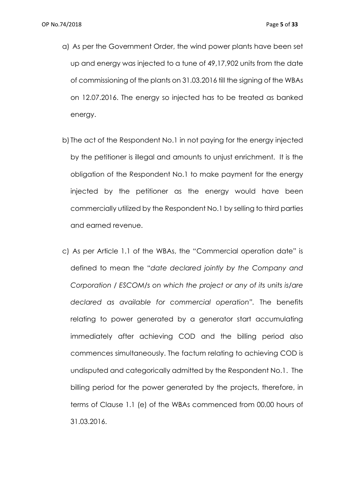- a) As per the Government Order, the wind power plants have been set up and energy was injected to a tune of 49,17,902 units from the date of commissioning of the plants on 31.03.2016 till the signing of the WBAs on 12.07.2016. The energy so injected has to be treated as banked energy.
- b) The act of the Respondent No.1 in not paying for the energy injected by the petitioner is illegal and amounts to unjust enrichment. It is the obligation of the Respondent No.1 to make payment for the energy injected by the petitioner as the energy would have been commercially utilized by the Respondent No.1 by selling to third parties and earned revenue.
- c) As per Article 1.1 of the WBAs, the "Commercial operation date" is defined to mean the "*date declared jointly by the Company and Corporation / ESCOM/s on which the project or any of its units is/are declared as available for commercial operation".* The benefits relating to power generated by a generator start accumulating immediately after achieving COD and the billing period also commences simultaneously. The factum relating to achieving COD is undisputed and categorically admitted by the Respondent No.1. The billing period for the power generated by the projects, therefore, in terms of Clause 1.1 (e) of the WBAs commenced from 00.00 hours of 31.03.2016.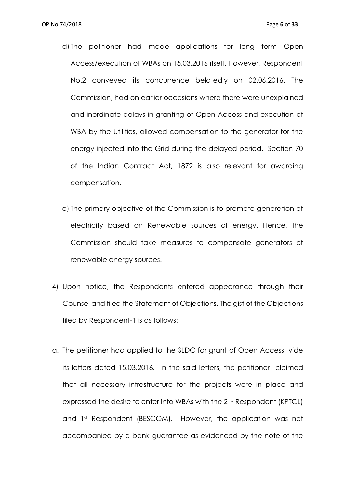- d) The petitioner had made applications for long term Open Access/execution of WBAs on 15.03.2016 itself. However, Respondent No.2 conveyed its concurrence belatedly on 02.06.2016. The Commission, had on earlier occasions where there were unexplained and inordinate delays in granting of Open Access and execution of WBA by the Utilities, allowed compensation to the generator for the energy injected into the Grid during the delayed period. Section 70 of the Indian Contract Act, 1872 is also relevant for awarding compensation.
- e) The primary objective of the Commission is to promote generation of electricity based on Renewable sources of energy. Hence, the Commission should take measures to compensate generators of renewable energy sources.
- 4) Upon notice, the Respondents entered appearance through their Counsel and filed the Statement of Objections. The gist of the Objections filed by Respondent-1 is as follows:
- a. The petitioner had applied to the SLDC for grant of Open Access vide its letters dated 15.03.2016. In the said letters, the petitioner claimed that all necessary infrastructure for the projects were in place and expressed the desire to enter into WBAs with the 2nd Respondent (KPTCL) and 1st Respondent (BESCOM). However, the application was not accompanied by a bank guarantee as evidenced by the note of the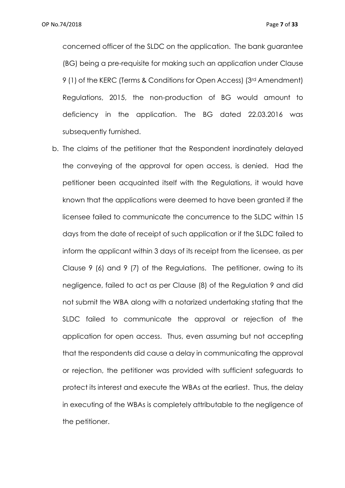concerned officer of the SLDC on the application. The bank guarantee (BG) being a pre-requisite for making such an application under Clause 9 (1) of the KERC (Terms & Conditions for Open Access) (3rd Amendment) Regulations, 2015, the non-production of BG would amount to deficiency in the application. The BG dated 22.03.2016 was subsequently furnished.

b. The claims of the petitioner that the Respondent inordinately delayed the conveying of the approval for open access, is denied. Had the petitioner been acquainted itself with the Regulations, it would have known that the applications were deemed to have been granted if the licensee failed to communicate the concurrence to the SLDC within 15 days from the date of receipt of such application or if the SLDC failed to inform the applicant within 3 days of its receipt from the licensee, as per Clause 9 (6) and 9 (7) of the Regulations. The petitioner, owing to its negligence, failed to act as per Clause (8) of the Regulation 9 and did not submit the WBA along with a notarized undertaking stating that the SLDC failed to communicate the approval or rejection of the application for open access. Thus, even assuming but not accepting that the respondents did cause a delay in communicating the approval or rejection, the petitioner was provided with sufficient safeguards to protect its interest and execute the WBAs at the earliest. Thus, the delay in executing of the WBAs is completely attributable to the negligence of the petitioner.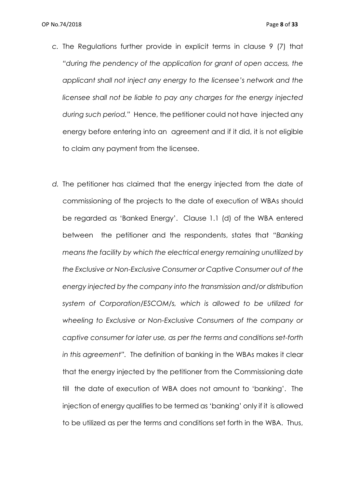- *c.* The Regulations further provide in explicit terms in clause 9 (7) that *"during the pendency of the application for grant of open access, the applicant shall not inject any energy to the licensee's network and the licensee shall not be liable to pay any charges for the energy injected during such period."* Hence, the petitioner could not have injected any energy before entering into an agreement and if it did, it is not eligible to claim any payment from the licensee.
- *d.* The petitioner has claimed that the energy injected from the date of commissioning of the projects to the date of execution of WBAs should be regarded as 'Banked Energy'. Clause 1.1 (d) of the WBA entered between the petitioner and the respondents, states that *"Banking means the facility by which the electrical energy remaining unutilized by the Exclusive or Non-Exclusive Consumer or Captive Consumer out of the energy injected by the company into the transmission and/or distribution system of Corporation/ESCOM/s, which is allowed to be utilized for wheeling to Exclusive or Non-Exclusive Consumers of the company or captive consumer for later use, as per the terms and conditions set-forth in this agreement".* The definition of banking in the WBAs makes it clear that the energy injected by the petitioner from the Commissioning date till the date of execution of WBA does not amount to 'banking'. The injection of energy qualifies to be termed as 'banking' only if it is allowed to be utilized as per the terms and conditions set forth in the WBA. Thus,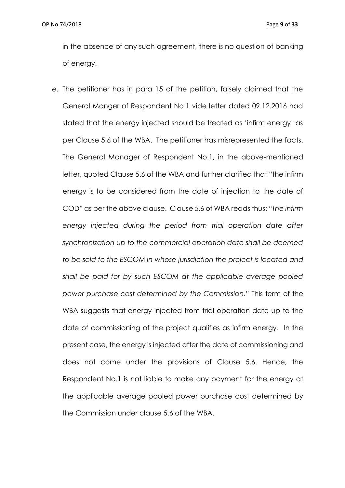in the absence of any such agreement, there is no question of banking of energy.

*e.* The petitioner has in para 15 of the petition, falsely claimed that the General Manger of Respondent No.1 vide letter dated 09.12.2016 had stated that the energy injected should be treated as 'infirm energy' as per Clause 5.6 of the WBA. The petitioner has misrepresented the facts. The General Manager of Respondent No.1, in the above-mentioned letter, quoted Clause 5.6 of the WBA and further clarified that "the infirm energy is to be considered from the date of injection to the date of COD" as per the above clause. Clause 5.6 of WBA reads thus: *"The infirm energy injected during the period from trial operation date after synchronization up to the commercial operation date shall be deemed to be sold to the ESCOM in whose jurisdiction the project is located and shall be paid for by such ESCOM at the applicable average pooled power purchase cost determined by the Commission."* This term of the WBA suggests that energy injected from trial operation date up to the date of commissioning of the project qualifies as infirm energy. In the present case, the energy is injected after the date of commissioning and does not come under the provisions of Clause 5.6. Hence, the Respondent No.1 is not liable to make any payment for the energy at the applicable average pooled power purchase cost determined by the Commission under clause 5.6 of the WBA.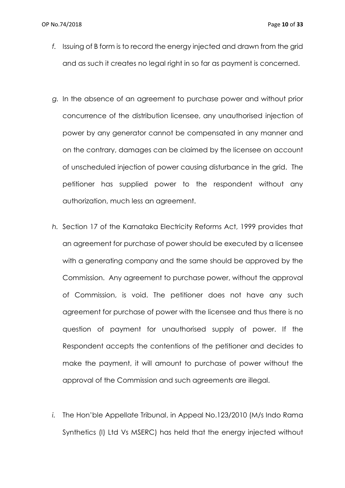- *f.* Issuing of B form is to record the energy injected and drawn from the grid and as such it creates no legal right in so far as payment is concerned.
- *g.* In the absence of an agreement to purchase power and without prior concurrence of the distribution licensee, any unauthorised injection of power by any generator cannot be compensated in any manner and on the contrary, damages can be claimed by the licensee on account of unscheduled injection of power causing disturbance in the grid. The petitioner has supplied power to the respondent without any authorization, much less an agreement.
- *h.* Section 17 of the Karnataka Electricity Reforms Act, 1999 provides that an agreement for purchase of power should be executed by a licensee with a generating company and the same should be approved by the Commission. Any agreement to purchase power, without the approval of Commission, is void. The petitioner does not have any such agreement for purchase of power with the licensee and thus there is no question of payment for unauthorised supply of power. If the Respondent accepts the contentions of the petitioner and decides to make the payment, it will amount to purchase of power without the approval of the Commission and such agreements are illegal.
- *i.* The Hon'ble Appellate Tribunal, in Appeal No.123/2010 (M/s Indo Rama Synthetics (I) Ltd Vs MSERC) has held that the energy injected without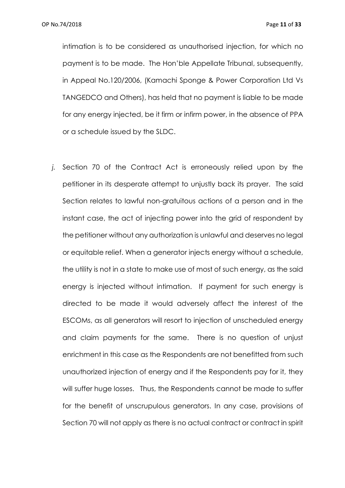intimation is to be considered as unauthorised injection, for which no payment is to be made. The Hon'ble Appellate Tribunal, subsequently, in Appeal No.120/2006, (Kamachi Sponge & Power Corporation Ltd Vs TANGEDCO and Others), has held that no payment is liable to be made for any energy injected, be it firm or infirm power, in the absence of PPA or a schedule issued by the SLDC.

*j.* Section 70 of the Contract Act is erroneously relied upon by the petitioner in its desperate attempt to unjustly back its prayer. The said Section relates to lawful non-gratuitous actions of a person and in the instant case, the act of injecting power into the grid of respondent by the petitioner without any authorization is unlawful and deserves no legal or equitable relief. When a generator injects energy without a schedule, the utility is not in a state to make use of most of such energy, as the said energy is injected without intimation. If payment for such energy is directed to be made it would adversely affect the interest of the ESCOMs, as all generators will resort to injection of unscheduled energy and claim payments for the same. There is no question of unjust enrichment in this case as the Respondents are not benefitted from such unauthorized injection of energy and if the Respondents pay for it, they will suffer huge losses. Thus, the Respondents cannot be made to suffer for the benefit of unscrupulous generators. In any case, provisions of Section 70 will not apply as there is no actual contract or contract in spirit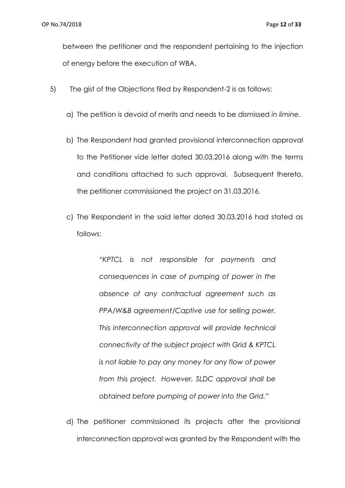between the petitioner and the respondent pertaining to the injection of energy before the execution of WBA.

- 5) The gist of the Objections filed by Respondent-2 is as follows:
	- a) The petition is devoid of merits and needs to be dismissed *in limine.*
	- b) The Respondent had granted provisional interconnection approval to the Petitioner vide letter dated 30.03.2016 along with the terms and conditions attached to such approval. Subsequent thereto, the petitioner commissioned the project on 31.03.2016.
	- c) The Respondent in the said letter dated 30.03.2016 had stated as follows:

*"KPTCL is not responsible for payments and consequences in case of pumping of power in the absence of any contractual agreement such as PPA/W&B agreement/Captive use for selling power. This interconnection approval will provide technical connectivity of the subject project with Grid & KPTCL is not liable to pay any money for any flow of power from this project. However, SLDC approval shall be obtained before pumping of power into the Grid."*

d) The petitioner commissioned its projects after the provisional interconnection approval was granted by the Respondent with the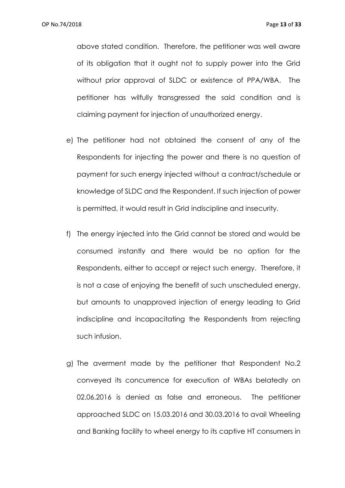above stated condition. Therefore, the petitioner was well aware of its obligation that it ought not to supply power into the Grid without prior approval of SLDC or existence of PPA/WBA. The petitioner has wilfully transgressed the said condition and is claiming payment for injection of unauthorized energy.

- e) The petitioner had not obtained the consent of any of the Respondents for injecting the power and there is no question of payment for such energy injected without a contract/schedule or knowledge of SLDC and the Respondent. If such injection of power is permitted, it would result in Grid indiscipline and insecurity.
- f) The energy injected into the Grid cannot be stored and would be consumed instantly and there would be no option for the Respondents, either to accept or reject such energy. Therefore, it is not a case of enjoying the benefit of such unscheduled energy, but amounts to unapproved injection of energy leading to Grid indiscipline and incapacitating the Respondents from rejecting such infusion.
- g) The averment made by the petitioner that Respondent No.2 conveyed its concurrence for execution of WBAs belatedly on 02.06.2016 is denied as false and erroneous. The petitioner approached SLDC on 15.03.2016 and 30.03.2016 to avail Wheeling and Banking facility to wheel energy to its captive HT consumers in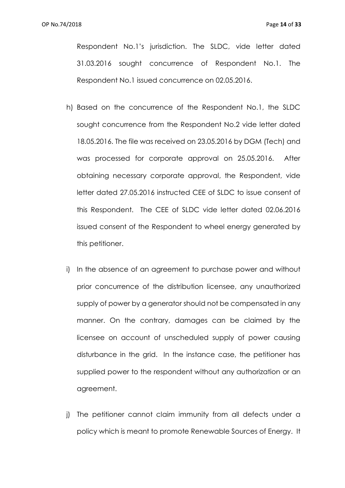Respondent No.1's jurisdiction. The SLDC, vide letter dated 31.03.2016 sought concurrence of Respondent No.1. The Respondent No.1 issued concurrence on 02.05.2016.

- h) Based on the concurrence of the Respondent No.1, the SLDC sought concurrence from the Respondent No.2 vide letter dated 18.05.2016. The file was received on 23.05.2016 by DGM (Tech) and was processed for corporate approval on 25.05.2016. After obtaining necessary corporate approval, the Respondent, vide letter dated 27.05.2016 instructed CEE of SLDC to issue consent of this Respondent. The CEE of SLDC vide letter dated 02.06.2016 issued consent of the Respondent to wheel energy generated by this petitioner.
- i) In the absence of an agreement to purchase power and without prior concurrence of the distribution licensee, any unauthorized supply of power by a generator should not be compensated in any manner. On the contrary, damages can be claimed by the licensee on account of unscheduled supply of power causing disturbance in the grid. In the instance case, the petitioner has supplied power to the respondent without any authorization or an agreement.
- j) The petitioner cannot claim immunity from all defects under a policy which is meant to promote Renewable Sources of Energy. It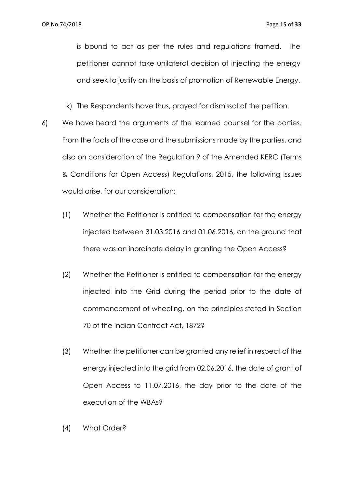is bound to act as per the rules and regulations framed. The petitioner cannot take unilateral decision of injecting the energy and seek to justify on the basis of promotion of Renewable Energy.

k) The Respondents have thus, prayed for dismissal of the petition.

- 6) We have heard the arguments of the learned counsel for the parties. From the facts of the case and the submissions made by the parties, and also on consideration of the Regulation 9 of the Amended KERC (Terms & Conditions for Open Access) Regulations, 2015, the following Issues would arise, for our consideration:
	- (1) Whether the Petitioner is entitled to compensation for the energy injected between 31.03.2016 and 01.06.2016, on the ground that there was an inordinate delay in granting the Open Access?
	- (2) Whether the Petitioner is entitled to compensation for the energy injected into the Grid during the period prior to the date of commencement of wheeling, on the principles stated in Section 70 of the Indian Contract Act, 1872?
	- (3) Whether the petitioner can be granted any relief in respect of the energy injected into the grid from 02.06.2016, the date of grant of Open Access to 11.07.2016, the day prior to the date of the execution of the WBAs?
	- (4) What Order?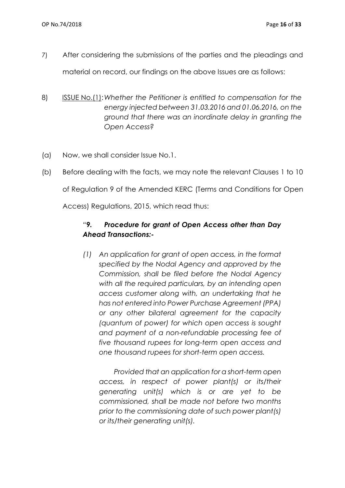- 7) After considering the submissions of the parties and the pleadings and material on record, our findings on the above Issues are as follows:
- 8) ISSUE No.(1):*Whether the Petitioner is entitled to compensation for the energy injected between 31.03.2016 and 01.06.2016, on the ground that there was an inordinate delay in granting the Open Access?*
- (a) Now, we shall consider Issue No.1.
- (b) Before dealing with the facts, we may note the relevant Clauses 1 to 10 of Regulation 9 of the Amended KERC (Terms and Conditions for Open Access) Regulations, 2015, which read thus:

# *"9. Procedure for grant of Open Access other than Day Ahead Transactions:-*

*(1) An application for grant of open access, in the format specified by the Nodal Agency and approved by the Commission, shall be filed before the Nodal Agency with all the required particulars, by an intending open access customer along with, an undertaking that he has not entered into Power Purchase Agreement (PPA) or any other bilateral agreement for the capacity (quantum of power) for which open access is sought and payment of a non-refundable processing fee of five thousand rupees for long-term open access and one thousand rupees for short-term open access.*

 *Provided that an application for a short-term open access, in respect of power plant(s) or its/their generating unit(s) which is or are yet to be commissioned, shall be made not before two months prior to the commissioning date of such power plant(s) or its/their generating unit(s).*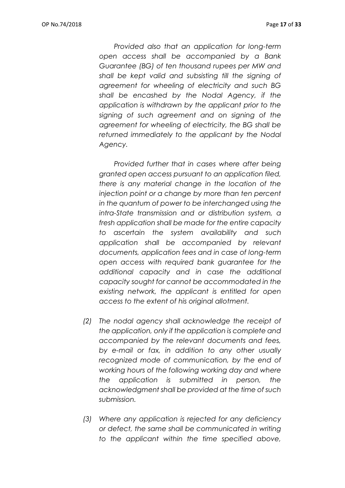*Provided also that an application for long-term open access shall be accompanied by a Bank Guarantee (BG) of ten thousand rupees per MW and shall be kept valid and subsisting till the signing of agreement for wheeling of electricity and such BG shall be encashed by the Nodal Agency, if the application is withdrawn by the applicant prior to the signing of such agreement and on signing of the agreement for wheeling of electricity, the BG shall be returned immediately to the applicant by the Nodal Agency.*

 *Provided further that in cases where after being granted open access pursuant to an application filed, there is any material change in the location of the injection point or a change by more than ten percent in the quantum of power to be interchanged using the intra-State transmission and or distribution system, a fresh application shall be made for the entire capacity to ascertain the system availability and such application shall be accompanied by relevant documents, application fees and in case of long-term open access with required bank guarantee for the additional capacity and in case the additional capacity sought for cannot be accommodated in the existing network, the applicant is entitled for open access to the extent of his original allotment.*

- *(2) The nodal agency shall acknowledge the receipt of the application, only if the application is complete and accompanied by the relevant documents and fees, by e-mail or fax, in addition to any other usually recognized mode of communication, by the end of working hours of the following working day and where the application is submitted in person, the acknowledgment shall be provided at the time of such submission.*
- *(3) Where any application is rejected for any deficiency or defect, the same shall be communicated in writing to the applicant within the time specified above,*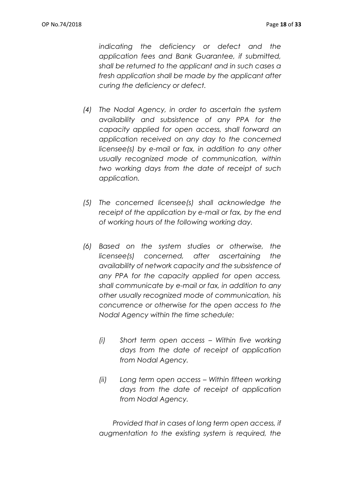*indicating the deficiency or defect and the application fees and Bank Guarantee, if submitted, shall be returned to the applicant and in such cases a fresh application shall be made by the applicant after curing the deficiency or defect.*

- *(4) The Nodal Agency, in order to ascertain the system availability and subsistence of any PPA for the capacity applied for open access, shall forward an application received on any day to the concerned licensee(s) by e-mail or fax, in addition to any other usually recognized mode of communication, within two working days from the date of receipt of such application.*
- *(5) The concerned licensee(s) shall acknowledge the receipt of the application by e-mail or fax, by the end of working hours of the following working day.*
- *(6) Based on the system studies or otherwise, the licensee(s) concerned, after ascertaining the availability of network capacity and the subsistence of any PPA for the capacity applied for open access, shall communicate by e-mail or fax, in addition to any other usually recognized mode of communication, his concurrence or otherwise for the open access to the Nodal Agency within the time schedule:*
	- *(i) Short term open access – Within five working days from the date of receipt of application from Nodal Agency.*
	- *(ii) Long term open access – Within fifteen working days from the date of receipt of application from Nodal Agency.*

 *Provided that in cases of long term open access, if augmentation to the existing system is required, the*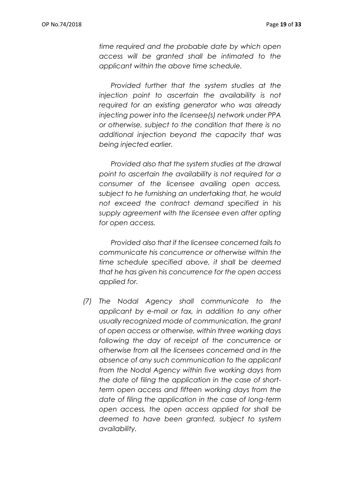*time required and the probable date by which open access will be granted shall be intimated to the applicant within the above time schedule.*

 *Provided further that the system studies at the injection point to ascertain the availability is not required for an existing generator who was already injecting power into the licensee(s) network under PPA or otherwise, subject to the condition that there is no additional injection beyond the capacity that was being injected earlier.*

 *Provided also that the system studies at the drawal point to ascertain the availability is not required for a consumer of the licensee availing open access, subject to he furnishing an undertaking that, he would not exceed the contract demand specified in his supply agreement with the licensee even after opting for open access.* 

 *Provided also that if the licensee concerned fails to communicate his concurrence or otherwise within the time schedule specified above, it shall be deemed that he has given his concurrence for the open access applied for.*

*(7) The Nodal Agency shall communicate to the applicant by e-mail or fax, in addition to any other usually recognized mode of communication, the grant of open access or otherwise, within three working days following the day of receipt of the concurrence or otherwise from all the licensees concerned and in the absence of any such communication to the applicant from the Nodal Agency within five working days from the date of filing the application in the case of shortterm open access and fifteen working days from the date of filing the application in the case of long-term open access, the open access applied for shall be deemed to have been granted, subject to system availability.*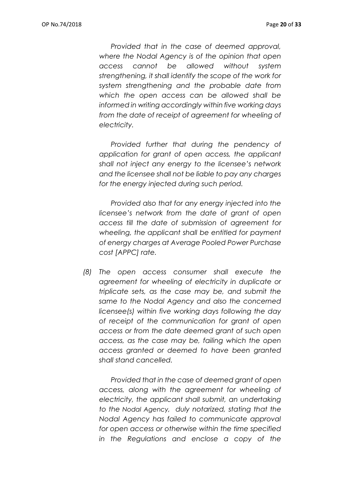*Provided that in the case of deemed approval, where the Nodal Agency is of the opinion that open access cannot be allowed without system strengthening, it shall identify the scope of the work for system strengthening and the probable date from which the open access can be allowed shall be informed in writing accordingly within five working days from the date of receipt of agreement for wheeling of electricity.*

 *Provided further that during the pendency of application for grant of open access, the applicant shall not inject any energy to the licensee's network and the licensee shall not be liable to pay any charges for the energy injected during such period.*

 *Provided also that for any energy injected into the licensee's network from the date of grant of open access till the date of submission of agreement for wheeling, the applicant shall be entitled for payment of energy charges at Average Pooled Power Purchase cost [APPC] rate.*

*(8) The open access consumer shall execute the agreement for wheeling of electricity in duplicate or triplicate sets, as the case may be, and submit the same to the Nodal Agency and also the concerned licensee(s) within five working days following the day of receipt of the communication for grant of open access or from the date deemed grant of such open access, as the case may be, failing which the open access granted or deemed to have been granted shall stand cancelled.*

 *Provided that in the case of deemed grant of open access, along with the agreement for wheeling of electricity, the applicant shall submit, an undertaking to the Nodal Agency, duly notarized, stating that the Nodal Agency has failed to communicate approval for open access or otherwise within the time specified in the Regulations and enclose a copy of the*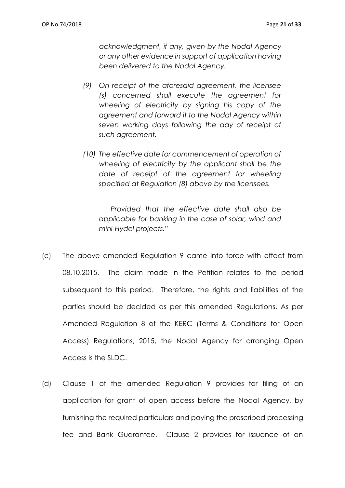*acknowledgment, if any, given by the Nodal Agency or any other evidence in support of application having been delivered to the Nodal Agency.*

- *(9) On receipt of the aforesaid agreement, the licensee (s) concerned shall execute the agreement for wheeling of electricity by signing his copy of the agreement and forward it to the Nodal Agency within seven working days following the day of receipt of such agreement.*
- *(10) The effective date for commencement of operation of wheeling of electricity by the applicant shall be the date of receipt of the agreement for wheeling specified at Regulation (8) above by the licensees.*

 *Provided that the effective date shall also be applicable for banking in the case of solar, wind and mini-Hydel projects."*

- (c) The above amended Regulation 9 came into force with effect from 08.10.2015. The claim made in the Petition relates to the period subsequent to this period. Therefore, the rights and liabilities of the parties should be decided as per this amended Regulations. As per Amended Regulation 8 of the KERC (Terms & Conditions for Open Access) Regulations, 2015, the Nodal Agency for arranging Open Access is the SLDC.
- (d) Clause 1 of the amended Regulation 9 provides for filing of an application for grant of open access before the Nodal Agency, by furnishing the required particulars and paying the prescribed processing fee and Bank Guarantee. Clause 2 provides for issuance of an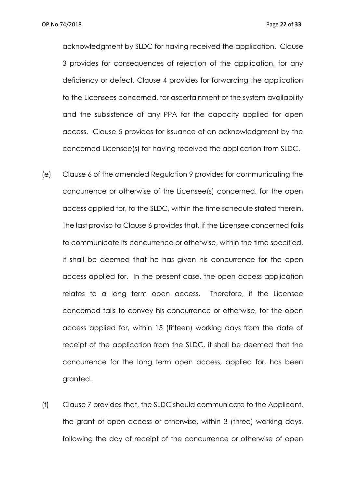acknowledgment by SLDC for having received the application. Clause 3 provides for consequences of rejection of the application, for any deficiency or defect. Clause 4 provides for forwarding the application to the Licensees concerned, for ascertainment of the system availability and the subsistence of any PPA for the capacity applied for open access. Clause 5 provides for issuance of an acknowledgment by the concerned Licensee(s) for having received the application from SLDC.

- (e) Clause 6 of the amended Regulation 9 provides for communicating the concurrence or otherwise of the Licensee(s) concerned, for the open access applied for, to the SLDC, within the time schedule stated therein. The last proviso to Clause 6 provides that, if the Licensee concerned fails to communicate its concurrence or otherwise, within the time specified, it shall be deemed that he has given his concurrence for the open access applied for. In the present case, the open access application relates to a long term open access. Therefore, if the Licensee concerned fails to convey his concurrence or otherwise, for the open access applied for, within 15 (fifteen) working days from the date of receipt of the application from the SLDC, it shall be deemed that the concurrence for the long term open access, applied for, has been granted.
- (f) Clause 7 provides that, the SLDC should communicate to the Applicant, the grant of open access or otherwise, within 3 (three) working days, following the day of receipt of the concurrence or otherwise of open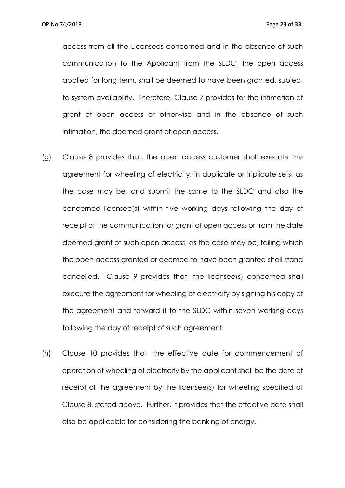access from all the Licensees concerned and in the absence of such communication to the Applicant from the SLDC, the open access applied for long term, shall be deemed to have been granted, subject to system availability. Therefore, Clause 7 provides for the intimation of grant of open access or otherwise and in the absence of such intimation, the deemed grant of open access.

- (g) Clause 8 provides that, the open access customer shall execute the agreement for wheeling of electricity, in duplicate or triplicate sets, as the case may be, and submit the same to the SLDC and also the concerned licensee(s) within five working days following the day of receipt of the communication for grant of open access or from the date deemed grant of such open access, as the case may be, failing which the open access granted or deemed to have been granted shall stand cancelled. Clause 9 provides that, the licensee(s) concerned shall execute the agreement for wheeling of electricity by signing his copy of the agreement and forward it to the SLDC within seven working days following the day of receipt of such agreement.
- (h) Clause 10 provides that, the effective date for commencement of operation of wheeling of electricity by the applicant shall be the date of receipt of the agreement by the licensee(s) for wheeling specified at Clause 8, stated above. Further, it provides that the effective date shall also be applicable for considering the banking of energy.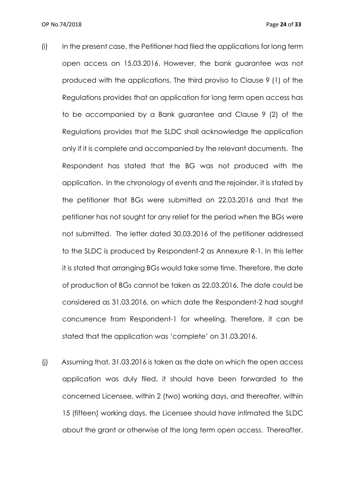- (i) In the present case, the Petitioner had filed the applications for long term open access on 15.03.2016. However, the bank guarantee was not produced with the applications. The third proviso to Clause 9 (1) of the Regulations provides that an application for long term open access has to be accompanied by a Bank guarantee and Clause 9 (2) of the Regulations provides that the SLDC shall acknowledge the application only if it is complete and accompanied by the relevant documents. The Respondent has stated that the BG was not produced with the application. In the chronology of events and the rejoinder, it is stated by the petitioner that BGs were submitted on 22.03.2016 and that the petitioner has not sought for any relief for the period when the BGs were not submitted. The letter dated 30.03.2016 of the petitioner addressed to the SLDC is produced by Respondent-2 as Annexure R-1. In this letter it is stated that arranging BGs would take some time. Therefore, the date of production of BGs cannot be taken as 22.03.2016. The date could be considered as 31.03.2016, on which date the Respondent-2 had sought concurrence from Respondent-1 for wheeling. Therefore, it can be stated that the application was 'complete' on 31.03.2016.
- (j) Assuming that, 31.03.2016 is taken as the date on which the open access application was duly filed, it should have been forwarded to the concerned Licensee, within 2 (two) working days, and thereafter, within 15 (fifteen) working days, the Licensee should have intimated the SLDC about the grant or otherwise of the long term open access. Thereafter,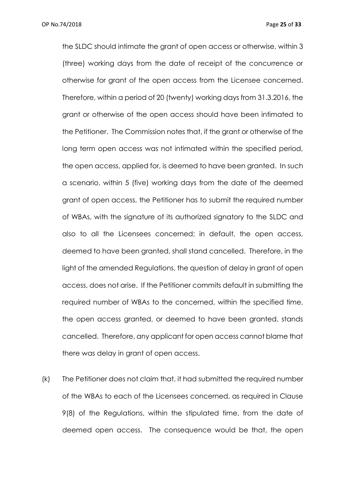the SLDC should intimate the grant of open access or otherwise, within 3 (three) working days from the date of receipt of the concurrence or otherwise for grant of the open access from the Licensee concerned. Therefore, within a period of 20 (twenty) working days from 31.3.2016, the grant or otherwise of the open access should have been intimated to the Petitioner. The Commission notes that, if the grant or otherwise of the long term open access was not intimated within the specified period, the open access, applied for, is deemed to have been granted. In such a scenario, within 5 (five) working days from the date of the deemed grant of open access, the Petitioner has to submit the required number of WBAs, with the signature of its authorized signatory to the SLDC and also to all the Licensees concerned; in default, the open access, deemed to have been granted, shall stand cancelled. Therefore, in the light of the amended Regulations, the question of delay in grant of open access, does not arise. If the Petitioner commits default in submitting the required number of WBAs to the concerned, within the specified time, the open access granted, or deemed to have been granted, stands cancelled. Therefore, any applicant for open access cannot blame that there was delay in grant of open access.

(k) The Petitioner does not claim that, it had submitted the required number of the WBAs to each of the Licensees concerned, as required in Clause 9(8) of the Regulations, within the stipulated time, from the date of deemed open access. The consequence would be that, the open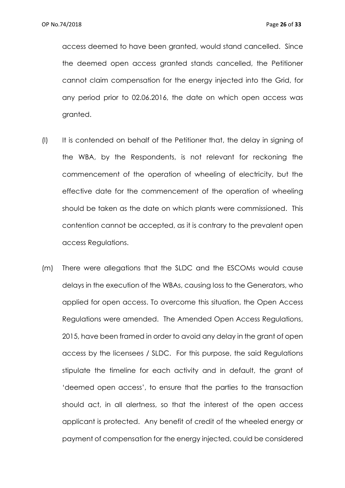access deemed to have been granted, would stand cancelled. Since the deemed open access granted stands cancelled, the Petitioner cannot claim compensation for the energy injected into the Grid, for any period prior to 02.06.2016, the date on which open access was granted.

- (l) It is contended on behalf of the Petitioner that, the delay in signing of the WBA, by the Respondents, is not relevant for reckoning the commencement of the operation of wheeling of electricity, but the effective date for the commencement of the operation of wheeling should be taken as the date on which plants were commissioned. This contention cannot be accepted, as it is contrary to the prevalent open access Regulations.
- (m) There were allegations that the SLDC and the ESCOMs would cause delays in the execution of the WBAs, causing loss to the Generators, who applied for open access. To overcome this situation, the Open Access Regulations were amended. The Amended Open Access Regulations, 2015, have been framed in order to avoid any delay in the grant of open access by the licensees / SLDC. For this purpose, the said Regulations stipulate the timeline for each activity and in default, the grant of 'deemed open access', to ensure that the parties to the transaction should act, in all alertness, so that the interest of the open access applicant is protected. Any benefit of credit of the wheeled energy or payment of compensation for the energy injected, could be considered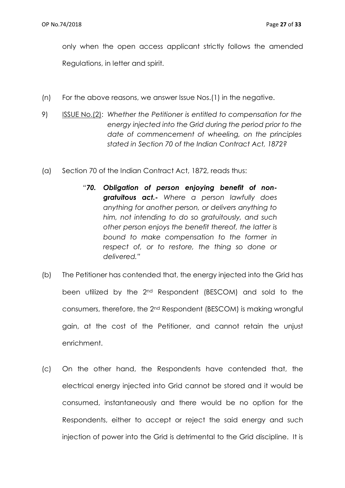only when the open access applicant strictly follows the amended Regulations, in letter and spirit.

- (n) For the above reasons, we answer Issue Nos.(1) in the negative.
- 9) ISSUE No.(2): *Whether the Petitioner is entitled to compensation for the energy injected into the Grid during the period prior to the date of commencement of wheeling, on the principles stated in Section 70 of the Indian Contract Act, 1872?*
- (a) Section 70 of the Indian Contract Act, 1872, reads thus:
	- *"70. Obligation of person enjoying benefit of nongratuitous act.- Where a person lawfully does anything for another person, or delivers anything to him, not intending to do so gratuitously, and such other person enjoys the benefit thereof, the latter is bound to make compensation to the former in respect of, or to restore, the thing so done or delivered."*
- (b) The Petitioner has contended that, the energy injected into the Grid has been utilized by the 2nd Respondent (BESCOM) and sold to the consumers, therefore, the 2nd Respondent (BESCOM) is making wrongful gain, at the cost of the Petitioner, and cannot retain the unjust enrichment.
- (c) On the other hand, the Respondents have contended that, the electrical energy injected into Grid cannot be stored and it would be consumed, instantaneously and there would be no option for the Respondents, either to accept or reject the said energy and such injection of power into the Grid is detrimental to the Grid discipline. It is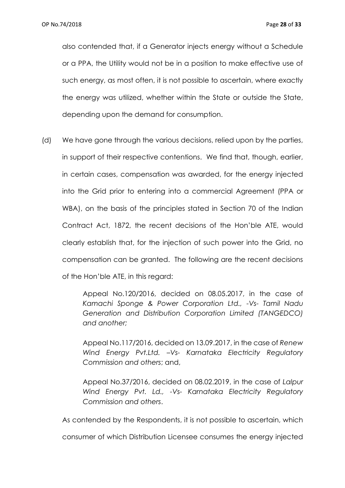also contended that, if a Generator injects energy without a Schedule or a PPA, the Utility would not be in a position to make effective use of such energy, as most often, it is not possible to ascertain, where exactly the energy was utilized, whether within the State or outside the State, depending upon the demand for consumption.

(d) We have gone through the various decisions, relied upon by the parties, in support of their respective contentions. We find that, though, earlier, in certain cases, compensation was awarded, for the energy injected into the Grid prior to entering into a commercial Agreement (PPA or WBA), on the basis of the principles stated in Section 70 of the Indian Contract Act, 1872, the recent decisions of the Hon'ble ATE, would clearly establish that, for the injection of such power into the Grid, no compensation can be granted. The following are the recent decisions of the Hon'ble ATE, in this regard:

> Appeal No.120/2016, decided on 08.05.2017, in the case of *Kamachi Sponge & Power Corporation Ltd., -Vs- Tamil Nadu Generation and Distribution Corporation Limited (TANGEDCO) and another;*

> Appeal No.117/2016, decided on 13.09.2017, in the case of *Renew Wind Energy Pvt.Ltd. –Vs- Karnataka Electricity Regulatory Commission and others*; and,

> Appeal No.37/2016, decided on 08.02.2019, in the case of *Lalpur Wind Energy Pvt. Ld., -Vs- Karnataka Electricity Regulatory Commission and others*.

As contended by the Respondents, it is not possible to ascertain, which consumer of which Distribution Licensee consumes the energy injected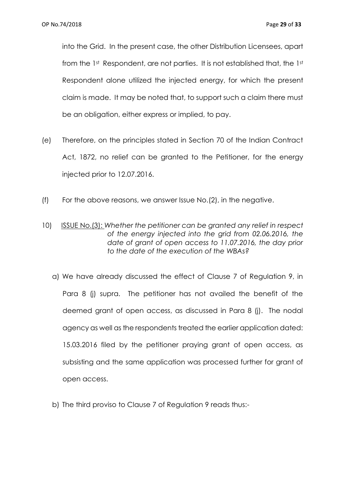into the Grid. In the present case, the other Distribution Licensees, apart from the 1st Respondent, are not parties. It is not established that, the 1st Respondent alone utilized the injected energy, for which the present claim is made. It may be noted that, to support such a claim there must be an obligation, either express or implied, to pay.

- (e) Therefore, on the principles stated in Section 70 of the Indian Contract Act, 1872, no relief can be granted to the Petitioner, for the energy injected prior to 12.07.2016.
- (f) For the above reasons, we answer Issue No.(2), in the negative.
- 10) ISSUE No.(3): *Whether the petitioner can be granted any relief in respect of the energy injected into the grid from 02.06.2016, the date of grant of open access to 11.07.2016, the day prior to the date of the execution of the WBAs?*
	- a) We have already discussed the effect of Clause 7 of Regulation 9, in Para 8 (j) supra. The petitioner has not availed the benefit of the deemed grant of open access, as discussed in Para 8 (j). The nodal agency as well as the respondents treated the earlier application dated: 15.03.2016 filed by the petitioner praying grant of open access, as subsisting and the same application was processed further for grant of open access.
	- b) The third proviso to Clause 7 of Regulation 9 reads thus:-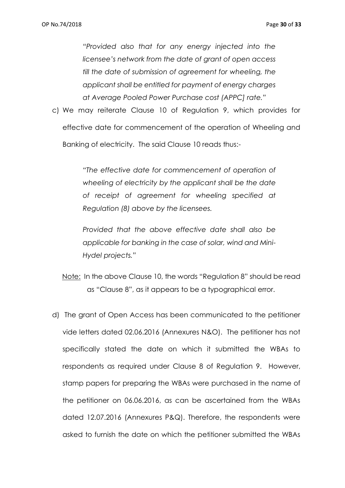*"Provided also that for any energy injected into the licensee's network from the date of grant of open access till the date of submission of agreement for wheeling, the applicant shall be entitled for payment of energy charges at Average Pooled Power Purchase cost (APPC] rate."*

c) We may reiterate Clause 10 of Regulation 9, which provides for effective date for commencement of the operation of Wheeling and Banking of electricity. The said Clause 10 reads thus:-

> *"The effective date for commencement of operation of wheeling of electricity by the applicant shall be the date of receipt of agreement for wheeling specified at Regulation (8) above by the licensees.*

> *Provided that the above effective date shall also be applicable for banking in the case of solar, wind and Mini-Hydel projects."*

- Note: In the above Clause 10, the words "Regulation 8" should be read as "Clause 8", as it appears to be a typographical error.
- d) The grant of Open Access has been communicated to the petitioner vide letters dated 02.06.2016 (Annexures N&O). The petitioner has not specifically stated the date on which it submitted the WBAs to respondents as required under Clause 8 of Regulation 9. However, stamp papers for preparing the WBAs were purchased in the name of the petitioner on 06.06.2016, as can be ascertained from the WBAs dated 12.07.2016 (Annexures P&Q). Therefore, the respondents were asked to furnish the date on which the petitioner submitted the WBAs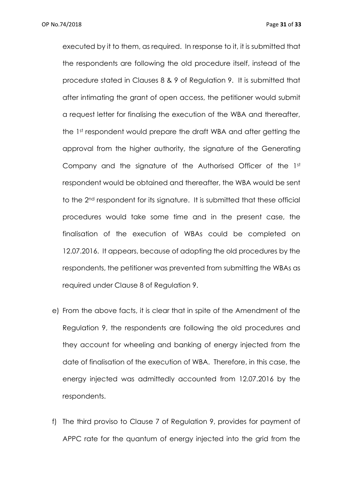executed by it to them, as required. In response to it, it is submitted that the respondents are following the old procedure itself, instead of the procedure stated in Clauses 8 & 9 of Regulation 9. It is submitted that after intimating the grant of open access, the petitioner would submit a request letter for finalising the execution of the WBA and thereafter, the 1st respondent would prepare the draft WBA and after getting the approval from the higher authority, the signature of the Generating Company and the signature of the Authorised Officer of the 1st respondent would be obtained and thereafter, the WBA would be sent to the 2nd respondent for its signature. It is submitted that these official procedures would take some time and in the present case, the finalisation of the execution of WBAs could be completed on 12.07.2016. It appears, because of adopting the old procedures by the respondents, the petitioner was prevented from submitting the WBAs as required under Clause 8 of Regulation 9.

- e) From the above facts, it is clear that in spite of the Amendment of the Regulation 9, the respondents are following the old procedures and they account for wheeling and banking of energy injected from the date of finalisation of the execution of WBA. Therefore, in this case, the energy injected was admittedly accounted from 12.07.2016 by the respondents.
- f) The third proviso to Clause 7 of Regulation 9, provides for payment of APPC rate for the quantum of energy injected into the grid from the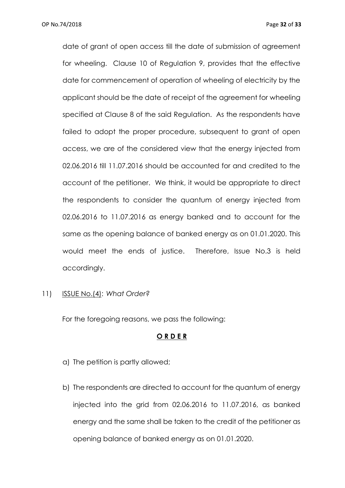date of grant of open access till the date of submission of agreement for wheeling. Clause 10 of Regulation 9, provides that the effective date for commencement of operation of wheeling of electricity by the applicant should be the date of receipt of the agreement for wheeling specified at Clause 8 of the said Regulation. As the respondents have failed to adopt the proper procedure, subsequent to grant of open access, we are of the considered view that the energy injected from 02.06.2016 till 11.07.2016 should be accounted for and credited to the account of the petitioner. We think, it would be appropriate to direct the respondents to consider the quantum of energy injected from 02.06.2016 to 11.07.2016 as energy banked and to account for the same as the opening balance of banked energy as on 01.01.2020. This would meet the ends of justice. Therefore, Issue No.3 is held accordingly.

11) ISSUE No.(4): *What Order?*

For the foregoing reasons, we pass the following:

## **O R D E R**

- a) The petition is partly allowed;
- b) The respondents are directed to account for the quantum of energy injected into the grid from 02.06.2016 to 11.07.2016, as banked energy and the same shall be taken to the credit of the petitioner as opening balance of banked energy as on 01.01.2020.